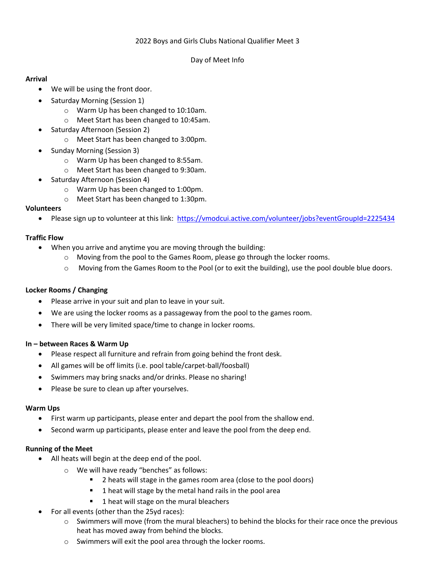## 2022 Boys and Girls Clubs National Qualifier Meet 3

#### Day of Meet Info

## **Arrival**

- We will be using the front door.
- Saturday Morning (Session 1)
	- o Warm Up has been changed to 10:10am.
	- o Meet Start has been changed to 10:45am.
- Saturday Afternoon (Session 2)
	- o Meet Start has been changed to 3:00pm.
- Sunday Morning (Session 3)
	- o Warm Up has been changed to 8:55am.
	- o Meet Start has been changed to 9:30am.
- Saturday Afternoon (Session 4)
	- o Warm Up has been changed to 1:00pm.
	- o Meet Start has been changed to 1:30pm.

## **Volunteers**

• Please sign up to volunteer at this link: <https://vmodcui.active.com/volunteer/jobs?eventGroupId=2225434>

## **Traffic Flow**

- When you arrive and anytime you are moving through the building:
	- o Moving from the pool to the Games Room, please go through the locker rooms.
	- o Moving from the Games Room to the Pool (or to exit the building), use the pool double blue doors.

# **Locker Rooms / Changing**

- Please arrive in your suit and plan to leave in your suit.
- We are using the locker rooms as a passageway from the pool to the games room.
- There will be very limited space/time to change in locker rooms.

## **In – between Races & Warm Up**

- Please respect all furniture and refrain from going behind the front desk.
- All games will be off limits (i.e. pool table/carpet-ball/foosball)
- Swimmers may bring snacks and/or drinks. Please no sharing!
- Please be sure to clean up after yourselves.

## **Warm Ups**

- First warm up participants, please enter and depart the pool from the shallow end.
- Second warm up participants, please enter and leave the pool from the deep end.

## **Running of the Meet**

- All heats will begin at the deep end of the pool.
	- o We will have ready "benches" as follows:
		- 2 heats will stage in the games room area (close to the pool doors)
		- **1** heat will stage by the metal hand rails in the pool area
		- 1 heat will stage on the mural bleachers
- For all events (other than the 25yd races):
	- o Swimmers will move (from the mural bleachers) to behind the blocks for their race once the previous heat has moved away from behind the blocks.
	- o Swimmers will exit the pool area through the locker rooms.